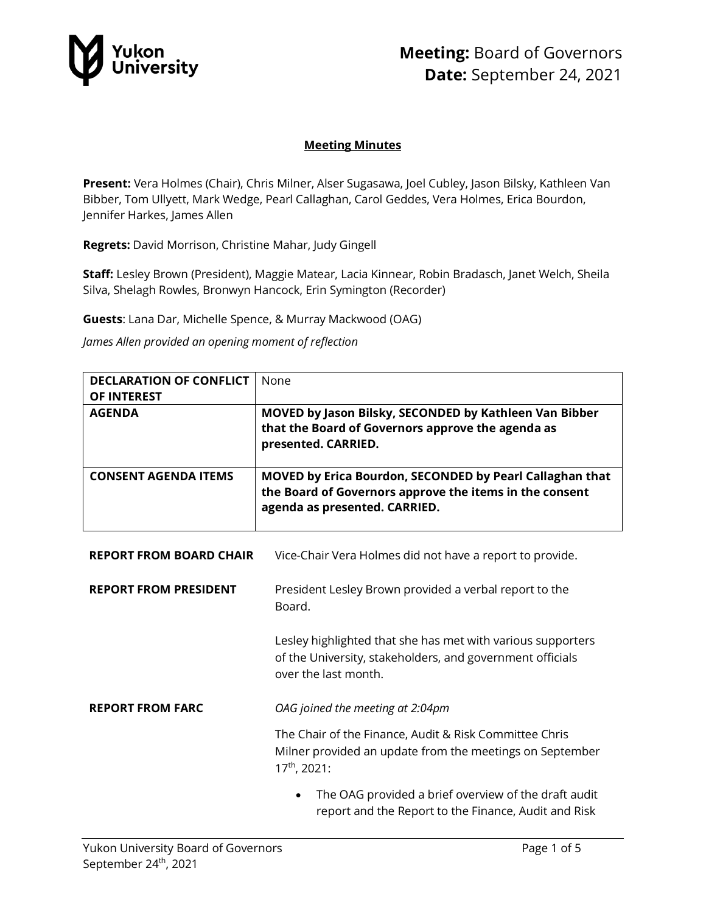

## **Meeting:** Board of Governors **Date:** September 24, 2021

#### **Meeting Minutes**

**Present:** Vera Holmes (Chair), Chris Milner, Alser Sugasawa, Joel Cubley, Jason Bilsky, Kathleen Van Bibber, Tom Ullyett, Mark Wedge, Pearl Callaghan, Carol Geddes, Vera Holmes, Erica Bourdon, Jennifer Harkes, James Allen

**Regrets:** David Morrison, Christine Mahar, Judy Gingell

**Staff:** Lesley Brown (President), Maggie Matear, Lacia Kinnear, Robin Bradasch, Janet Welch, Sheila Silva, Shelagh Rowles, Bronwyn Hancock, Erin Symington (Recorder)

**Guests**: Lana Dar, Michelle Spence, & Murray Mackwood (OAG)

*James Allen provided an opening moment of reflection*

| <b>DECLARATION OF CONFLICT</b><br><b>OF INTEREST</b> | None                                                                                                                                                 |
|------------------------------------------------------|------------------------------------------------------------------------------------------------------------------------------------------------------|
| <b>AGENDA</b>                                        | MOVED by Jason Bilsky, SECONDED by Kathleen Van Bibber<br>that the Board of Governors approve the agenda as<br>presented. CARRIED.                   |
| <b>CONSENT AGENDA ITEMS</b>                          | MOVED by Erica Bourdon, SECONDED by Pearl Callaghan that<br>the Board of Governors approve the items in the consent<br>agenda as presented. CARRIED. |
| <b>REPORT FROM BOARD CHAIR</b>                       | Vice-Chair Vera Holmes did not have a report to provide.                                                                                             |
| <b>REPORT FROM PRESIDENT</b>                         | President Lesley Brown provided a verbal report to the<br>Board.                                                                                     |
|                                                      | Lesley highlighted that she has met with various supporters<br>of the University, stakeholders, and government officials<br>over the last month.     |
| <b>REPORT FROM FARC</b>                              | OAG joined the meeting at 2:04pm                                                                                                                     |
|                                                      | The Chair of the Finance, Audit & Risk Committee Chris<br>Milner provided an update from the meetings on September<br>17 <sup>th</sup> , 2021:       |
|                                                      | The OAG provided a brief overview of the draft audit<br>report and the Report to the Finance, Audit and Risk                                         |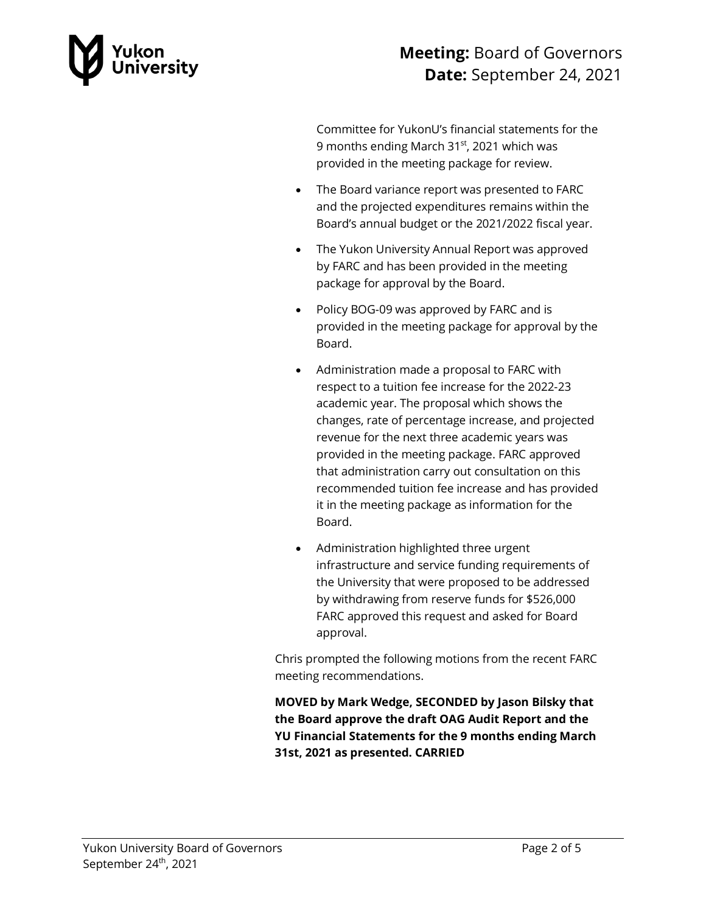

## **Meeting:** Board of Governors **Date:** September 24, 2021

Committee for YukonU's financial statements for the 9 months ending March 31<sup>st</sup>, 2021 which was provided in the meeting package for review.

- The Board variance report was presented to FARC and the projected expenditures remains within the Board's annual budget or the 2021/2022 fiscal year.
- The Yukon University Annual Report was approved by FARC and has been provided in the meeting package for approval by the Board.
- Policy BOG-09 was approved by FARC and is provided in the meeting package for approval by the Board.
- Administration made a proposal to FARC with respect to a tuition fee increase for the 2022-23 academic year. The proposal which shows the changes, rate of percentage increase, and projected revenue for the next three academic years was provided in the meeting package. FARC approved that administration carry out consultation on this recommended tuition fee increase and has provided it in the meeting package as information for the Board.
- Administration highlighted three urgent infrastructure and service funding requirements of the University that were proposed to be addressed by withdrawing from reserve funds for \$526,000 FARC approved this request and asked for Board approval.

Chris prompted the following motions from the recent FARC meeting recommendations.

**MOVED by Mark Wedge, SECONDED by Jason Bilsky that the Board approve the draft OAG Audit Report and the YU Financial Statements for the 9 months ending March 31st, 2021 as presented. CARRIED**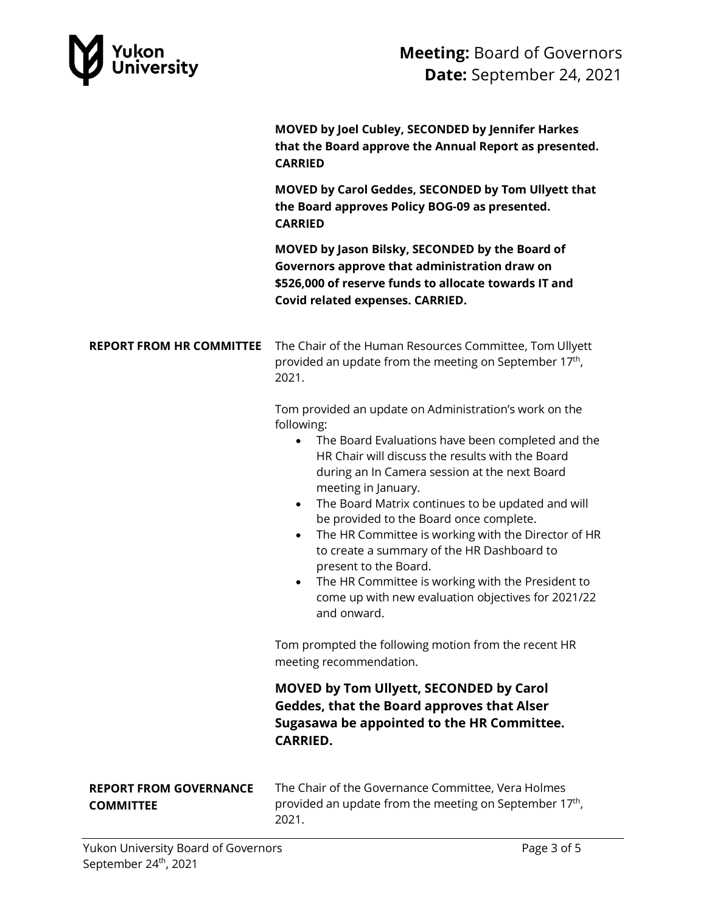

**MOVED by Joel Cubley, SECONDED by Jennifer Harkes that the Board approve the Annual Report as presented. CARRIED**

**MOVED by Carol Geddes, SECONDED by Tom Ullyett that the Board approves Policy BOG-09 as presented. CARRIED**

**MOVED by Jason Bilsky, SECONDED by the Board of Governors approve that administration draw on \$526,000 of reserve funds to allocate towards IT and Covid related expenses. CARRIED.** 

**REPORT FROM HR COMMITTEE** The Chair of the Human Resources Committee, Tom Ullyett provided an update from the meeting on September  $17<sup>th</sup>$ , 2021.

> Tom provided an update on Administration's work on the following:

- The Board Evaluations have been completed and the HR Chair will discuss the results with the Board during an In Camera session at the next Board meeting in January.
- The Board Matrix continues to be updated and will be provided to the Board once complete.
- The HR Committee is working with the Director of HR to create a summary of the HR Dashboard to present to the Board.
- The HR Committee is working with the President to come up with new evaluation objectives for 2021/22 and onward.

Tom prompted the following motion from the recent HR meeting recommendation.

**MOVED by Tom Ullyett, SECONDED by Carol Geddes, that the Board approves that Alser Sugasawa be appointed to the HR Committee. CARRIED.**

#### **REPORT FROM GOVERNANCE COMMITTEE**

The Chair of the Governance Committee, Vera Holmes provided an update from the meeting on September 17<sup>th</sup>, 2021.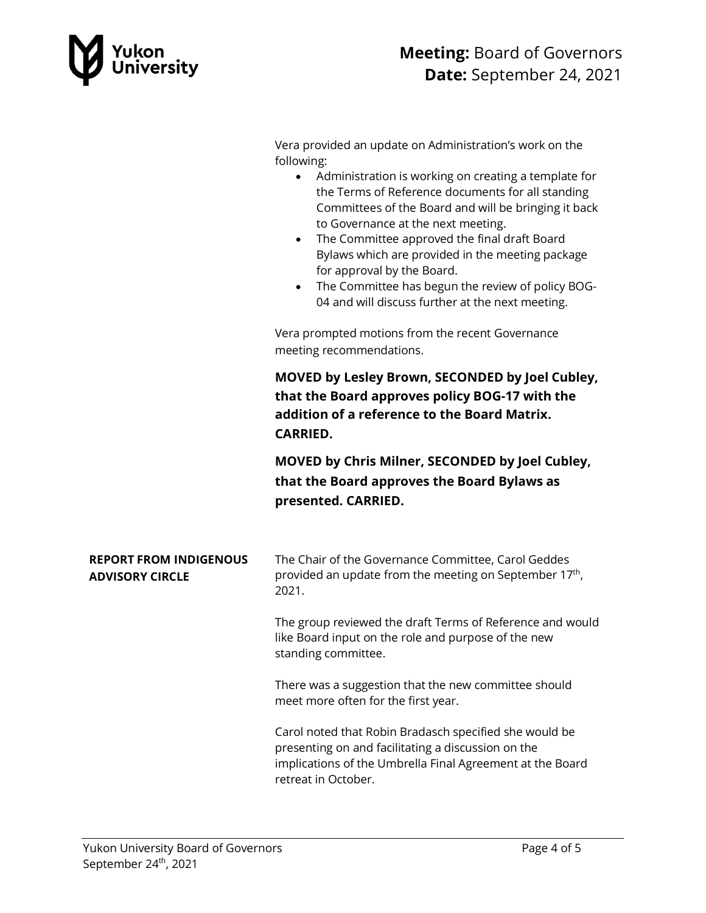

Vera provided an update on Administration's work on the following:

- Administration is working on creating a template for the Terms of Reference documents for all standing Committees of the Board and will be bringing it back to Governance at the next meeting.
- The Committee approved the final draft Board Bylaws which are provided in the meeting package for approval by the Board.
- The Committee has begun the review of policy BOG-04 and will discuss further at the next meeting.

Vera prompted motions from the recent Governance meeting recommendations.

**MOVED by Lesley Brown, SECONDED by Joel Cubley, that the Board approves policy BOG-17 with the addition of a reference to the Board Matrix. CARRIED.** 

**MOVED by Chris Milner, SECONDED by Joel Cubley, that the Board approves the Board Bylaws as presented. CARRIED.** 

| <b>REPORT FROM INDIGENOUS</b> | The Chair of the Governance Committee, Carol Geddes       |
|-------------------------------|-----------------------------------------------------------|
| <b>ADVISORY CIRCLE</b>        | provided an update from the meeting on September $17th$ , |
|                               | 2021.                                                     |

The group reviewed the draft Terms of Reference and would like Board input on the role and purpose of the new standing committee.

There was a suggestion that the new committee should meet more often for the first year.

Carol noted that Robin Bradasch specified she would be presenting on and facilitating a discussion on the implications of the Umbrella Final Agreement at the Board retreat in October.